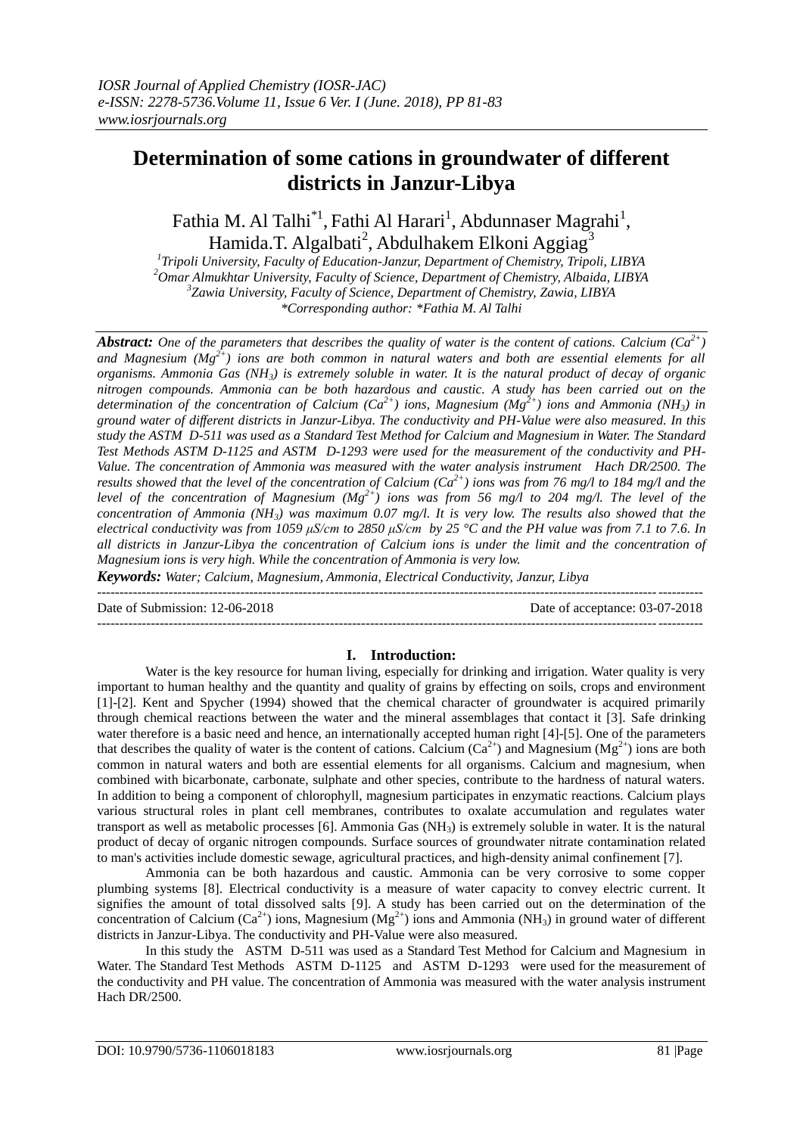## **Determination of some cations in groundwater of different districts in Janzur-Libya**

Fathia M. Al Talhi<sup>\*1</sup>, Fathi Al Harari<sup>1</sup>, Abdunnaser Magrahi<sup>1</sup>, Hamida.T. Algalbati<sup>2</sup>, Abdulhakem Elkoni Aggiag<sup>3</sup>

 *Tripoli University, Faculty of Education-Janzur, Department of Chemistry, Tripoli, LIBYA Omar Almukhtar University, Faculty of Science, Department of Chemistry, Albaida, LIBYA Zawia University, Faculty of Science, Department of Chemistry, Zawia, LIBYA \*Corresponding author: \*Fathia M. Al Talhi*

*Abstract: One of the parameters that describes the quality of water is the content of cations. Calcium (Ca2+) and Magnesium (Mg2+) ions are both common in natural waters and both are essential elements for all organisms. Ammonia Gas (NH3) is extremely soluble in water. It is the natural product of decay of organic nitrogen compounds. Ammonia can be both hazardous and caustic. A study has been carried out on the*  determination of the concentration of Calcium ( $Ca^{2+}$ ) ions, Magnesium ( $Mg^{2+}$ ) ions and Ammonia (NH<sub>3</sub>) in *ground water of different districts in Janzur-Libya. The conductivity and PH-Value were also measured. In this study the ASTM D-511 was used as a Standard Test Method for Calcium and Magnesium in Water. The Standard Test Methods ASTM D-1125 and ASTM D-1293 were used for the measurement of the conductivity and PH-Value. The concentration of Ammonia was measured with the water analysis instrument Hach DR/2500. The results showed that the level of the concentration of Calcium (Ca2+) ions was from 76 mg/l to 184 mg/l and the level of the concentration of Magnesium (Mg2+) ions was from 56 mg/l to 204 mg/l. The level of the concentration of Ammonia (NH3) was maximum 0.07 mg/l. It is very low. The results also showed that the electrical conductivity was from 1059 μS/cm to 2850 μS/cm by 25 °C and the PH value was from 7.1 to 7.6. In all districts in Janzur-Libya the concentration of Calcium ions is under the limit and the concentration of Magnesium ions is very high. While the concentration of Ammonia is very low.*

*Keywords: Water; Calcium, Magnesium, Ammonia, Electrical Conductivity, Janzur, Libya*

Date of Submission: 12-06-2018 Date of acceptance: 03-07-2018

---------------------------------------------------------------------------------------------------------------------------------------

# **I. Introduction:**

---------------------------------------------------------------------------------------------------------------------------------------

Water is the key resource for human living, especially for drinking and irrigation. Water quality is very important to human healthy and the quantity and quality of grains by effecting on soils, crops and environment [1]-[2]. Kent and Spycher (1994) showed that the chemical character of groundwater is acquired primarily through chemical reactions between the water and the mineral assemblages that contact it [3]. Safe drinking water therefore is a basic need and hence, an internationally accepted human right [4]-[5]. One of the parameters that describes the quality of water is the content of cations. Calcium  $(Ca^{2+})$  and Magnesium  $(Mg^{2+})$  ions are both common in natural waters and both are essential elements for all organisms. Calcium and magnesium, when combined with bicarbonate, carbonate, sulphate and other species, contribute to the hardness of natural waters. In addition to being a component of chlorophyll, magnesium participates in enzymatic reactions. Calcium plays various structural roles in plant cell membranes, contributes to oxalate accumulation and regulates water transport as well as metabolic processes [6]. Ammonia Gas  $(NH<sub>3</sub>)$  is extremely soluble in water. It is the natural product of decay of organic nitrogen compounds. Surface sources of groundwater nitrate contamination related to man's activities include domestic sewage, agricultural practices, and high-density animal confinement [7].

Ammonia can be both hazardous and caustic. Ammonia can be very corrosive to some copper plumbing systems [8]. Electrical conductivity is a measure of water capacity to convey electric current. It signifies the amount of total dissolved salts [9]. A study has been carried out on the determination of the concentration of Calcium ( $Ca^{2+}$ ) ions, Magnesium ( $Mg^{2+}$ ) ions and Ammonia (NH<sub>3</sub>) in ground water of different districts in Janzur-Libya. The conductivity and PH-Value were also measured.

In this study the ASTM D-511 was used as a Standard Test Method for Calcium and Magnesium in Water. The Standard Test Methods ASTM D-1125 and ASTM D-1293 were used for the measurement of the conductivity and PH value. The concentration of Ammonia was measured with the water analysis instrument Hach DR/2500.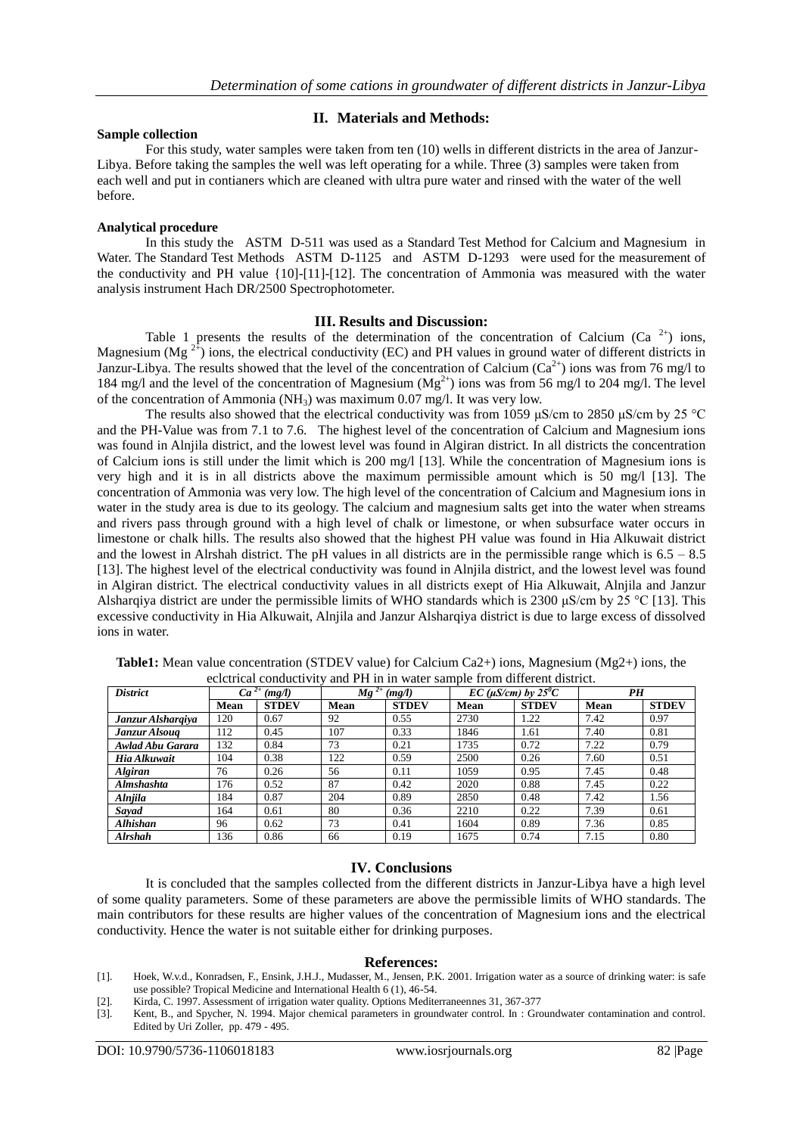#### **II. Materials and Methods:**

### **Sample collection**

For this study, water samples were taken from ten (10) wells in different districts in the area of Janzur-Libya. Before taking the samples the well was left operating for a while. Three (3) samples were taken from each well and put in contianers which are cleaned with ultra pure water and rinsed with the water of the well before.

#### **Analytical procedure**

In this study the ASTM D-511 was used as a Standard Test Method for Calcium and Magnesium in Water. The Standard Test Methods ASTM D-1125 and ASTM D-1293 were used for the measurement of the conductivity and PH value {10]-[11]-[12]. The concentration of Ammonia was measured with the water analysis instrument Hach DR/2500 Spectrophotometer.

#### **III. Results and Discussion:**

Table 1 presents the results of the determination of the concentration of Calcium (Ca  $^{2+}$ ) ions, Magnesium (Mg<sup>2+</sup>) ions, the electrical conductivity (EC) and PH values in ground water of different districts in Janzur-Libya. The results showed that the level of the concentration of Calcium ( $Ca^{2+}$ ) ions was from 76 mg/l to 184 mg/l and the level of the concentration of Magnesium ( $Mg^{2+}$ ) ions was from 56 mg/l to 204 mg/l. The level of the concentration of Ammonia ( $NH_3$ ) was maximum 0.07 mg/l. It was very low.

The results also showed that the electrical conductivity was from 1059 μS/cm to 2850 μS/cm by 25 °C and the PH-Value was from 7.1 to 7.6. The highest level of the concentration of Calcium and Magnesium ions was found in Alnjila district, and the lowest level was found in Algiran district. In all districts the concentration of Calcium ions is still under the limit which is 200 mg/l [13]. While the concentration of Magnesium ions is very high and it is in all districts above the maximum permissible amount which is 50 mg/l [13]. The concentration of Ammonia was very low. The high level of the concentration of Calcium and Magnesium ions in water in the study area is due to its geology. The calcium and magnesium salts get into the water when streams and rivers pass through ground with a high level of chalk or limestone, or when subsurface water occurs in limestone or chalk hills. The results also showed that the highest PH value was found in Hia Alkuwait district and the lowest in Alrshah district. The pH values in all districts are in the permissible range which is  $6.5 - 8.5$ [13]. The highest level of the electrical conductivity was found in Alnjila district, and the lowest level was found in Algiran district. The electrical conductivity values in all districts exept of Hia Alkuwait, Alnjila and Janzur Alsharqiya district are under the permissible limits of WHO standards which is 2300 μS/cm by 25 °C [13]. This excessive conductivity in Hia Alkuwait, Alnjila and Janzur Alsharqiya district is due to large excess of dissolved ions in water.

| cenetrical contractivity<br>and I II in m watch sample from unicremental |                            |              |                                |              |                                       |              |      |              |
|--------------------------------------------------------------------------|----------------------------|--------------|--------------------------------|--------------|---------------------------------------|--------------|------|--------------|
| <b>District</b>                                                          | $\overline{Ca^{2+}(mg/l)}$ |              | $\overline{Mg}^{2+}$<br>(mg/l) |              | EC ( $\mu$ S/cm) by 25 <sup>o</sup> C |              | PH   |              |
|                                                                          | Mean                       | <b>STDEV</b> | Mean                           | <b>STDEV</b> | <b>Mean</b>                           | <b>STDEV</b> | Mean | <b>STDEV</b> |
| Janzur Alshargiya                                                        | 120                        | 0.67         | 92                             | 0.55         | 2730                                  | 1.22         | 7.42 | 0.97         |
| Janzur Alsouq                                                            | 112                        | 0.45         | 107                            | 0.33         | 1846                                  | 1.61         | 7.40 | 0.81         |
| Awlad Abu Garara                                                         | 132                        | 0.84         | 73                             | 0.21         | 1735                                  | 0.72         | 7.22 | 0.79         |
| Hia Alkuwait                                                             | 104                        | 0.38         | 122                            | 0.59         | 2500                                  | 0.26         | 7.60 | 0.51         |
| <b>Algiran</b>                                                           | 76                         | 0.26         | 56                             | 0.11         | 1059                                  | 0.95         | 7.45 | 0.48         |
| Almshashta                                                               | 176                        | 0.52         | 87                             | 0.42         | 2020                                  | 0.88         | 7.45 | 0.22         |
| <b>Alnjila</b>                                                           | 184                        | 0.87         | 204                            | 0.89         | 2850                                  | 0.48         | 7.42 | 1.56         |
| Sayad                                                                    | 164                        | 0.61         | 80                             | 0.36         | 2210                                  | 0.22         | 7.39 | 0.61         |
| <b>Alhishan</b>                                                          | 96                         | 0.62         | 73                             | 0.41         | 1604                                  | 0.89         | 7.36 | 0.85         |
| <b>Alrshah</b>                                                           | 136                        | 0.86         | 66                             | 0.19         | 1675                                  | 0.74         | 7.15 | 0.80         |

**Table1:** Mean value concentration (STDEV value) for Calcium Ca2+) ions, Magnesium (Mg2+) ions, the eclctrical conductivity and PH in in water sample from different district.

#### **IV. Conclusions**

It is concluded that the samples collected from the different districts in Janzur-Libya have a high level of some quality parameters. Some of these parameters are above the permissible limits of WHO standards. The main contributors for these results are higher values of the concentration of Magnesium ions and the electrical conductivity. Hence the water is not suitable either for drinking purposes.

#### **References:**

- [1]. Hoek, W.v.d., Konradsen, F., Ensink, J.H.J., Mudasser, M., Jensen, P.K. 2001. Irrigation water as a source of drinking water: is safe use possible? Tropical Medicine and International Health 6 (1), 46-54.
- [2]. Kirda, C. 1997. Assessment of irrigation water quality. Options Mediterraneennes 31, 367-377
- [3]. Kent, B., and Spycher, N. 1994. Major chemical parameters in groundwater control. In : Groundwater contamination and control. Edited by Uri Zoller, pp. 479 - 495.